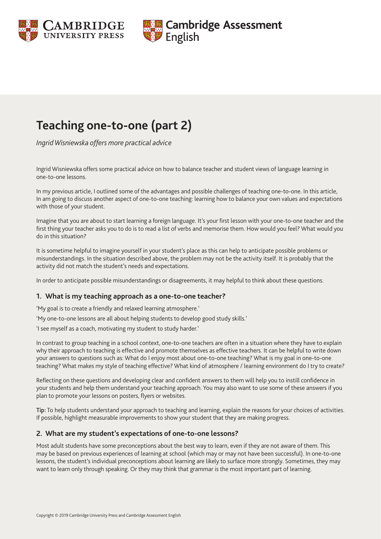



# **Teaching one-to-one (part 2)**

*Ingrid Wisniewska offers more practical advice*

Ingrid Wisniewska offers some practical advice on how to balance teacher and student views of language learning in one-to-one lessons.

In my previous article, I outlined some of the advantages and possible challenges of teaching one-to-one. In this article, In am going to discuss another aspect of one-to-one teaching: learning how to balance your own values and expectations with those of your student.

Imagine that you are about to start learning a foreign language. It's your first lesson with your one-to-one teacher and the first thing your teacher asks you to do is to read a list of verbs and memorise them. How would you feel? What would you do in this situation?

It is sometime helpful to imagine yourself in your student's place as this can help to anticipate possible problems or misunderstandings. In the situation described above, the problem may not be the activity itself. It is probably that the activity did not match the student's needs and expectations.

In order to anticipate possible misunderstandings or disagreements, it may helpful to think about these questions.

#### **1. What is my teaching approach as a one-to-one teacher?**

'My goal is to create a friendly and relaxed learning atmosphere.'

'My one-to-one lessons are all about helping students to develop good study skills.'

'I see myself as a coach, motivating my student to study harder.'

In contrast to group teaching in a school context, one-to-one teachers are often in a situation where they have to explain why their approach to teaching is effective and promote themselves as effective teachers. It can be helpful to write down your answers to questions such as: What do I enjoy most about one-to-one teaching? What is my goal in one-to-one teaching? What makes my style of teaching effective? What kind of atmosphere / learning environment do I try to create?

Reflecting on these questions and developing clear and confident answers to them will help you to instill confidence in your students and help them understand your teaching approach. You may also want to use some of these answers if you plan to promote your lessons on posters, flyers or websites.

Tip: To help students understand your approach to teaching and learning, explain the reasons for your choices of activities. If possible, highlight measurable improvements to show your student that they are making progress.

#### **2. What are my student's expectations of one-to-one lessons?**

Most adult students have some preconceptions about the best way to learn, even if they are not aware of them. This may be based on previous experiences of learning at school (which may or may not have been successful). In one-to-one lessons, the student's individual preconceptions about learning are likely to surface more strongly. Sometimes, they may want to learn only through speaking. Or they may think that grammar is the most important part of learning.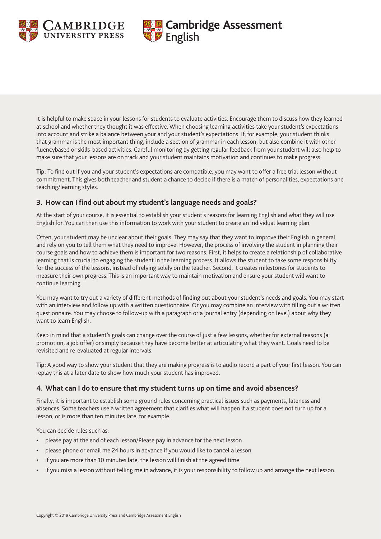



It is helpful to make space in your lessons for students to evaluate activities. Encourage them to discuss how they learned at school and whether they thought it was effective. When choosing learning activities take your student's expectations into account and strike a balance between your and your student's expectations. If, for example, your student thinks that grammar is the most important thing, include a section of grammar in each lesson, but also combine it with other fluencybased or skills-based activities. Careful monitoring by getting regular feedback from your student will also help to make sure that your lessons are on track and your student maintains motivation and continues to make progress.

Tip: To find out if you and your student's expectations are compatible, you may want to offer a free trial lesson without commitment. This gives both teacher and student a chance to decide if there is a match of personalities, expectations and teaching/learning styles.

## **3. How can I find out about my student's language needs and goals?**

At the start of your course, it is essential to establish your student's reasons for learning English and what they will use English for. You can then use this information to work with your student to create an individual learning plan.

Often, your student may be unclear about their goals. They may say that they want to improve their English in general and rely on you to tell them what they need to improve. However, the process of involving the student in planning their course goals and how to achieve them is important for two reasons. First, it helps to create a relationship of collaborative learning that is crucial to engaging the student in the learning process. It allows the student to take some responsibility for the success of the lessons, instead of relying solely on the teacher. Second, it creates milestones for students to measure their own progress. This is an important way to maintain motivation and ensure your student will want to continue learning.

You may want to try out a variety of different methods of finding out about your student's needs and goals. You may start with an interview and follow up with a written questionnaire. Or you may combine an interview with filling out a written questionnaire. You may choose to follow-up with a paragraph or a journal entry (depending on level) about why they want to learn English.

Keep in mind that a student's goals can change over the course of just a few lessons, whether for external reasons (a promotion, a job offer) or simply because they have become better at articulating what they want. Goals need to be revisited and re-evaluated at regular intervals.

Tip: A good way to show your student that they are making progress is to audio record a part of your first lesson. You can replay this at a later date to show how much your student has improved.

## **4. What can I do to ensure that my student turns up on time and avoid absences?**

Finally, it is important to establish some ground rules concerning practical issues such as payments, lateness and absences. Some teachers use a written agreement that clarifies what will happen if a student does not turn up for a lesson, or is more than ten minutes late, for example.

You can decide rules such as:

- please pay at the end of each lesson/Please pay in advance for the next lesson
- please phone or email me 24 hours in advance if you would like to cancel a lesson
- if you are more than 10 minutes late, the lesson will finish at the agreed time
- if you miss a lesson without telling me in advance, it is your responsibility to follow up and arrange the next lesson.